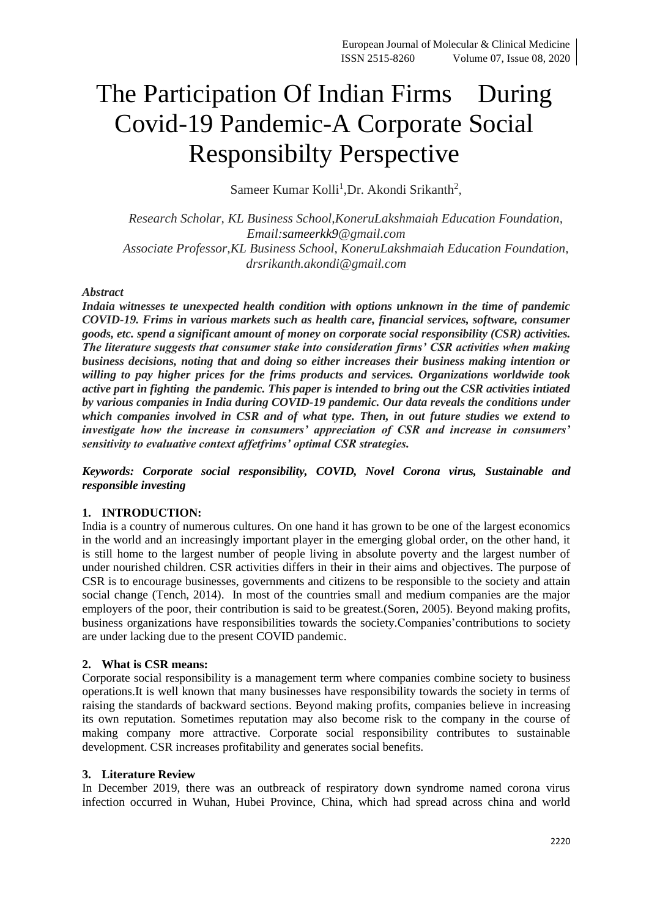# The Participation Of Indian Firms During Covid-19 Pandemic-A Corporate Social Responsibilty Perspective

Sameer Kumar Kolli<sup>1</sup>, Dr. Akondi Srikanth<sup>2</sup>,

*Research Scholar, KL Business School,KoneruLakshmaiah Education Foundation, Email:sameerkk9@gmail.com Associate Professor,KL Business School, KoneruLakshmaiah Education Foundation, drsrikanth.akondi@gmail.com*

## *Abstract*

*Indaia witnesses te unexpected health condition with options unknown in the time of pandemic COVID-19. Frims in various markets such as health care, financial services, software, consumer goods, etc. spend a significant amount of money on corporate social responsibility (CSR) activities. The literature suggests that consumer stake into consideration firms' CSR activities when making business decisions, noting that and doing so either increases their business making intention or willing to pay higher prices for the frims products and services. Organizations worldwide took active part in fighting the pandemic. This paper is intended to bring out the CSR activities intiated by various companies in India during COVID-19 pandemic. Our data reveals the conditions under which companies involved in CSR and of what type. Then, in out future studies we extend to investigate how the increase in consumers' appreciation of CSR and increase in consumers' sensitivity to evaluative context affetfrims' optimal CSR strategies.*

*Keywords: Corporate social responsibility, COVID, Novel Corona virus, Sustainable and responsible investing*

## **1. INTRODUCTION:**

India is a country of numerous cultures. On one hand it has grown to be one of the largest economics in the world and an increasingly important player in the emerging global order, on the other hand, it is still home to the largest number of people living in absolute poverty and the largest number of under nourished children. CSR activities differs in their in their aims and objectives. The purpose of CSR is to encourage businesses, governments and citizens to be responsible to the society and attain social change (Tench, 2014). In most of the countries small and medium companies are the major employers of the poor, their contribution is said to be greatest.(Soren, 2005). Beyond making profits, business organizations have responsibilities towards the society.Companies'contributions to society are under lacking due to the present COVID pandemic.

## **2. What is CSR means:**

Corporate social responsibility is a management term where companies combine society to business operations.It is well known that many businesses have responsibility towards the society in terms of raising the standards of backward sections. Beyond making profits, companies believe in increasing its own reputation. Sometimes reputation may also become risk to the company in the course of making company more attractive. Corporate social responsibility contributes to sustainable development. CSR increases profitability and generates social benefits.

#### **3. Literature Review**

In December 2019, there was an outbreack of respiratory down syndrome named corona virus infection occurred in Wuhan, Hubei Province, China, which had spread across china and world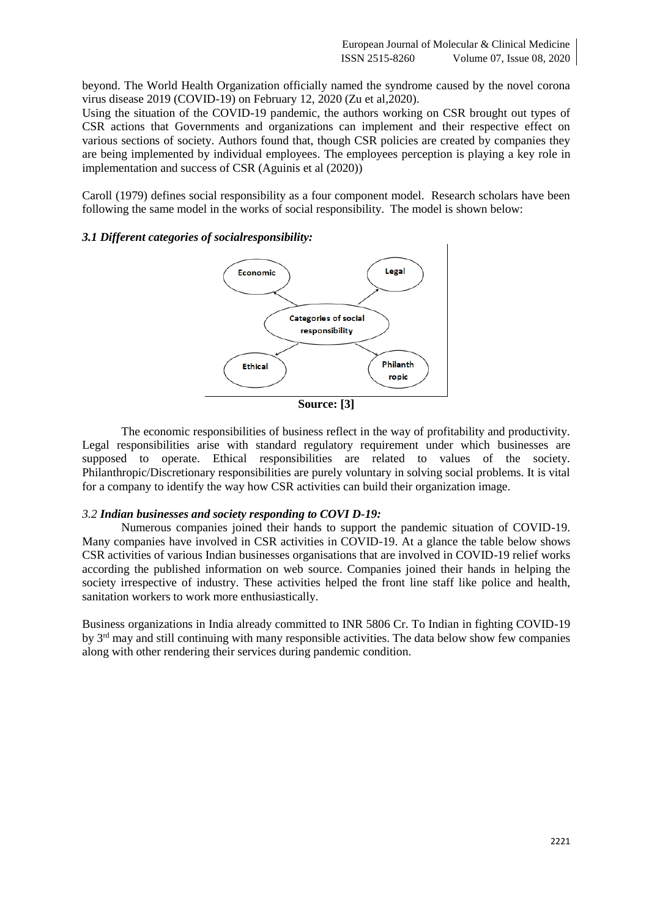beyond. The World Health Organization officially named the syndrome caused by the novel corona virus disease 2019 (COVID-19) on February 12, 2020 (Zu et al,2020).

Using the situation of the COVID-19 pandemic, the authors working on CSR brought out types of CSR actions that Governments and organizations can implement and their respective effect on various sections of society. Authors found that, though CSR policies are created by companies they are being implemented by individual employees. The employees perception is playing a key role in implementation and success of CSR (Aguinis et al (2020))

Caroll (1979) defines social responsibility as a four component model. Research scholars have been following the same model in the works of social responsibility. The model is shown below:

## *3.1 Different categories of socialresponsibility:*



The economic responsibilities of business reflect in the way of profitability and productivity. Legal responsibilities arise with standard regulatory requirement under which businesses are supposed to operate. Ethical responsibilities are related to values of the society. Philanthropic/Discretionary responsibilities are purely voluntary in solving social problems. It is vital for a company to identify the way how CSR activities can build their organization image.

#### *3.2 Indian businesses and society responding to COVI D-19:*

Numerous companies joined their hands to support the pandemic situation of COVID-19. Many companies have involved in CSR activities in COVID-19. At a glance the table below shows CSR activities of various Indian businesses organisations that are involved in COVID-19 relief works according the published information on web source. Companies joined their hands in helping the society irrespective of industry. These activities helped the front line staff like police and health, sanitation workers to work more enthusiastically.

Business organizations in India already committed to INR 5806 Cr. To Indian in fighting COVID-19 by 3rd may and still continuing with many responsible activities. The data below show few companies along with other rendering their services during pandemic condition.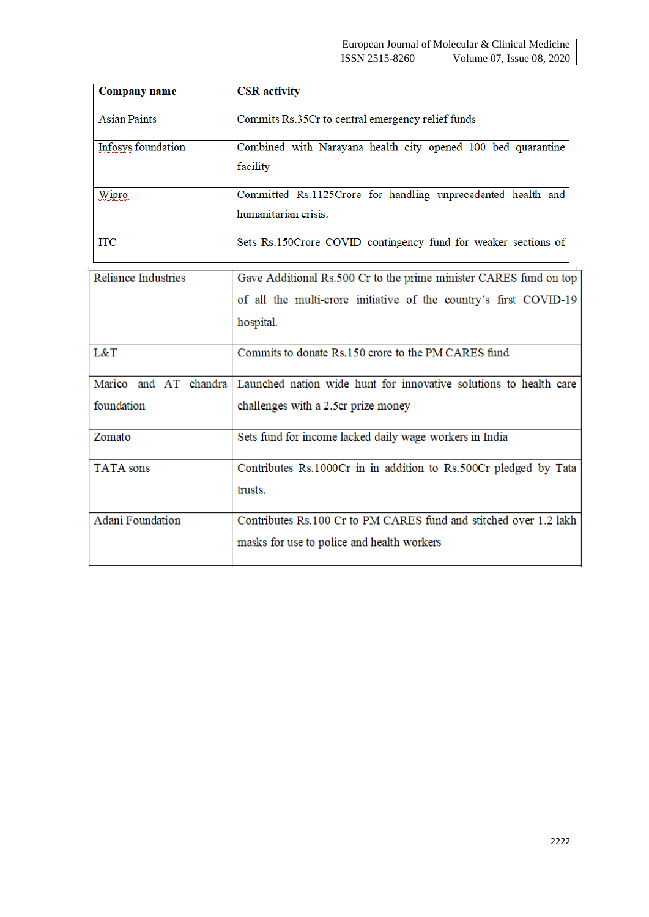| Company name               | <b>CSR</b> activity                                               |
|----------------------------|-------------------------------------------------------------------|
| <b>Asian Paints</b>        | Commits Rs.35Cr to central emergency relief funds                 |
| Infosys foundation         | Combined with Narayana health city opened 100 bed quarantine      |
|                            | facility                                                          |
| <b>Wipro</b>               | Committed Rs.1125Crore for handling unprecedented health and      |
|                            | humanitarian crisis.                                              |
| <b>ITC</b>                 | Sets Rs.150Crore COVID contingency fund for weaker sections of    |
| <b>Reliance Industries</b> | Gave Additional Rs.500 Cr to the prime minister CARES fund on top |
|                            | of all the multi-crore initiative of the country's first COVID-19 |
|                            | hospital.                                                         |
| L&T                        | Commits to donate Rs.150 crore to the PM CARES fund               |
| Marico and AT chandra      | Launched nation wide hunt for innovative solutions to health care |
| foundation                 | challenges with a 2.5cr prize money                               |
| Zomato                     | Sets fund for income lacked daily wage workers in India           |
| <b>TATA</b> sons           | Contributes Rs.1000Cr in in addition to Rs.500Cr pledged by Tata  |
|                            | trusts.                                                           |
| <b>Adani Foundation</b>    | Contributes Rs.100 Cr to PM CARES fund and stitched over 1.2 lakh |
|                            | masks for use to police and health workers                        |

 $\overline{\phantom{a}}$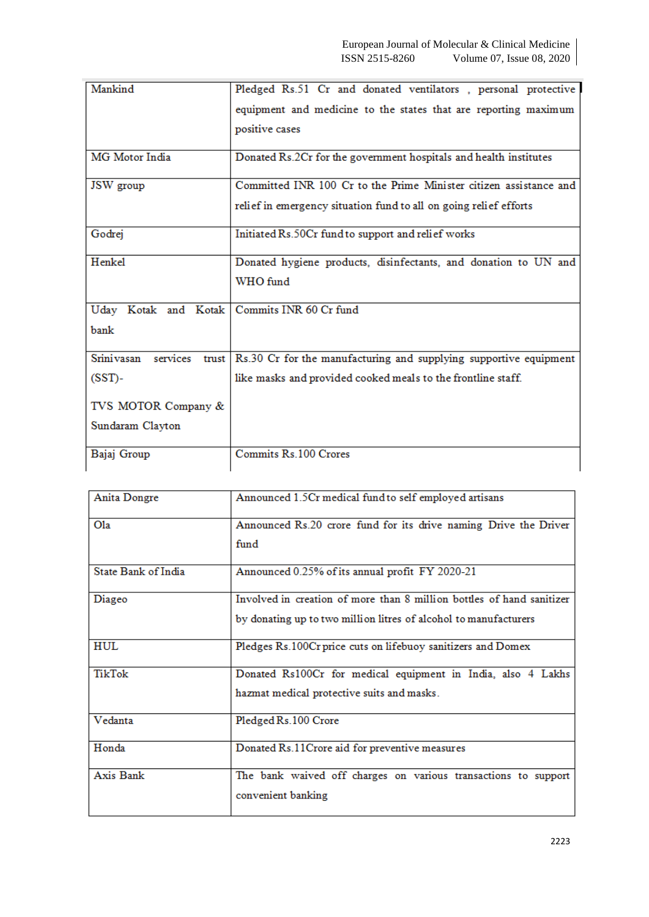| Mankind                                       | Pledged Rs.51 Cr and donated ventilators, personal protective     |
|-----------------------------------------------|-------------------------------------------------------------------|
|                                               | equipment and medicine to the states that are reporting maximum   |
|                                               | positive cases                                                    |
|                                               |                                                                   |
| MG Motor India                                | Donated Rs.2Cr for the government hospitals and health institutes |
| JSW group                                     | Committed INR 100 Cr to the Prime Minister citizen assistance and |
|                                               | relief in emergency situation fund to all on going relief efforts |
| Godrej                                        | Initiated Rs.50Cr fund to support and relief works                |
| Henkel                                        | Donated hygiene products, disinfectants, and donation to UN and   |
|                                               | WHO fund                                                          |
| Uday Kotak and Kotak   Commits INR 60 Cr fund |                                                                   |
| bank                                          |                                                                   |
|                                               |                                                                   |
| Srini vasan<br>services<br>trust              | Rs.30 Cr for the manufacturing and supplying supportive equipment |
| $(SST)$ -                                     | like masks and provided cooked meals to the frontline staff.      |
| TVS MOTOR Company &                           |                                                                   |
| Sundaram Clayton                              |                                                                   |
|                                               |                                                                   |
| Bajaj Group                                   | Commits Rs.100 Crores                                             |
|                                               |                                                                   |

| Anita Dongre        | Announced 1.5Cr medical fund to self employed artisans                                                                                    |
|---------------------|-------------------------------------------------------------------------------------------------------------------------------------------|
| O1a                 | Announced Rs.20 crore fund for its drive naming Drive the Driver<br>fund                                                                  |
| State Bank of India | Announced 0.25% of its annual profit FY 2020-21                                                                                           |
| Diageo              | Involved in creation of more than 8 million bottles of hand sanitizer<br>by donating up to two million litres of alcohol to manufacturers |
| <b>HUL</b>          | Pledges Rs.100Cr price cuts on lifebuoy sanitizers and Domex                                                                              |
| TikTok              | Donated Rs100Cr for medical equipment in India, also 4 Lakhs<br>hazmat medical protective suits and masks.                                |
| Vedanta             | Pledged Rs.100 Crore                                                                                                                      |
| Honda               | Donated Rs.11Crore aid for preventive measures                                                                                            |
| Axis Bank           | The bank waived off charges on various transactions to support<br>convenient banking                                                      |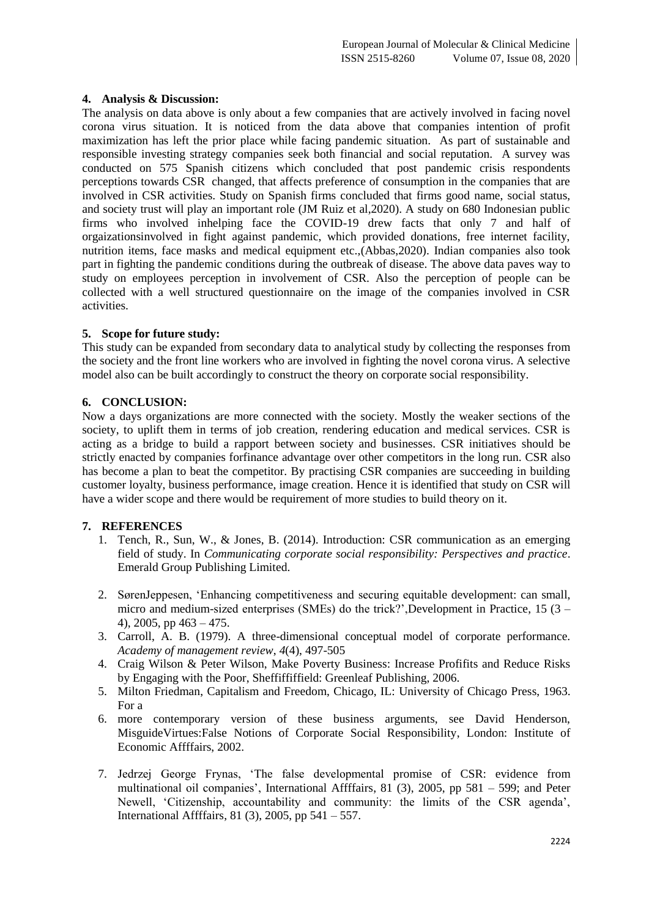# **4. Analysis & Discussion:**

The analysis on data above is only about a few companies that are actively involved in facing novel corona virus situation. It is noticed from the data above that companies intention of profit maximization has left the prior place while facing pandemic situation. As part of sustainable and responsible investing strategy companies seek both financial and social reputation. A survey was conducted on 575 Spanish citizens which concluded that post pandemic crisis respondents perceptions towards CSR changed, that affects preference of consumption in the companies that are involved in CSR activities. Study on Spanish firms concluded that firms good name, social status, and society trust will play an important role (JM Ruiz et al,2020). A study on 680 Indonesian public firms who involved inhelping face the COVID-19 drew facts that only 7 and half of orgaizationsinvolved in fight against pandemic, which provided donations, free internet facility, nutrition items, face masks and medical equipment etc.,(Abbas,2020). Indian companies also took part in fighting the pandemic conditions during the outbreak of disease. The above data paves way to study on employees perception in involvement of CSR. Also the perception of people can be collected with a well structured questionnaire on the image of the companies involved in CSR activities.

# **5. Scope for future study:**

This study can be expanded from secondary data to analytical study by collecting the responses from the society and the front line workers who are involved in fighting the novel corona virus. A selective model also can be built accordingly to construct the theory on corporate social responsibility.

# **6. CONCLUSION:**

Now a days organizations are more connected with the society. Mostly the weaker sections of the society, to uplift them in terms of job creation, rendering education and medical services. CSR is acting as a bridge to build a rapport between society and businesses. CSR initiatives should be strictly enacted by companies forfinance advantage over other competitors in the long run. CSR also has become a plan to beat the competitor. By practising CSR companies are succeeding in building customer loyalty, business performance, image creation. Hence it is identified that study on CSR will have a wider scope and there would be requirement of more studies to build theory on it.

## **7. REFERENCES**

- 1. Tench, R., Sun, W., & Jones, B. (2014). Introduction: CSR communication as an emerging field of study. In *Communicating corporate social responsibility: Perspectives and practice*. Emerald Group Publishing Limited.
- 2. SørenJeppesen, 'Enhancing competitiveness and securing equitable development: can small, micro and medium-sized enterprises (SMEs) do the trick?',Development in Practice,  $15(3 -$ 4), 2005, pp 463 – 475.
- 3. Carroll, A. B. (1979). A three-dimensional conceptual model of corporate performance. *Academy of management review*, *4*(4), 497-505
- 4. Craig Wilson & Peter Wilson, Make Poverty Business: Increase Profifits and Reduce Risks by Engaging with the Poor, Sheffiffiffield: Greenleaf Publishing, 2006.
- 5. Milton Friedman, Capitalism and Freedom, Chicago, IL: University of Chicago Press, 1963. For a
- 6. more contemporary version of these business arguments, see David Henderson, MisguideVirtues:False Notions of Corporate Social Responsibility, London: Institute of Economic Affffairs, 2002.
- 7. Jedrzej George Frynas, 'The false developmental promise of CSR: evidence from multinational oil companies', International Affffairs, 81 (3), 2005, pp 581 – 599; and Peter Newell, 'Citizenship, accountability and community: the limits of the CSR agenda', International Affffairs, 81 (3), 2005, pp 541 – 557.